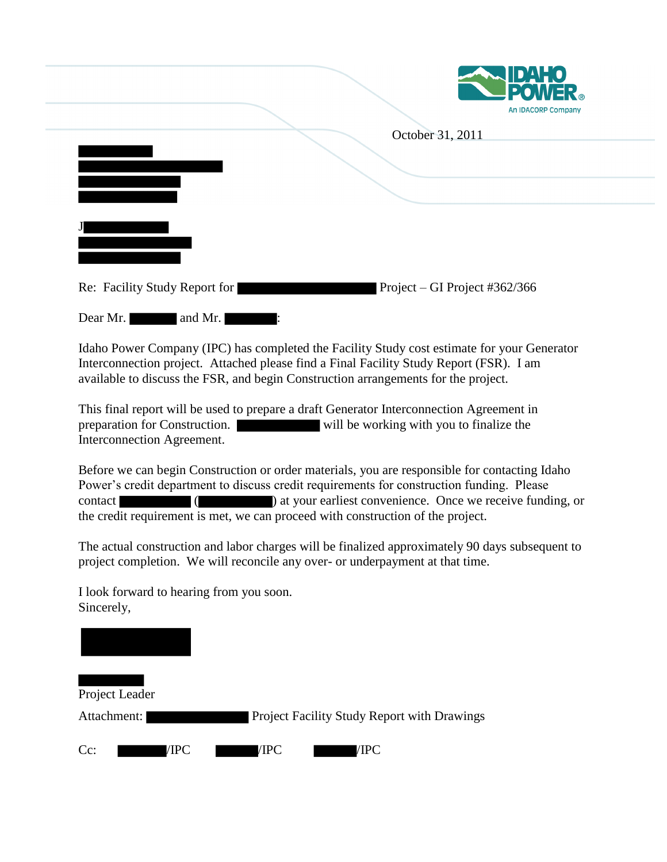

|                                                 | October 31, 2011              |
|-------------------------------------------------|-------------------------------|
|                                                 |                               |
| Re: Facility Study Report for                   | Project – GI Project #362/366 |
| Dear Mr.<br>and Mr.<br><b>Contract Contract</b> |                               |

Idaho Power Company (IPC) has completed the Facility Study cost estimate for your Generator Interconnection project. Attached please find a Final Facility Study Report (FSR). I am available to discuss the FSR, and begin Construction arrangements for the project.

This final report will be used to prepare a draft Generator Interconnection Agreement in preparation for Construction. will be working with you to finalize the Interconnection Agreement.

Before we can begin Construction or order materials, you are responsible for contacting Idaho Power's credit department to discuss credit requirements for construction funding. Please contact ( ) at your earliest convenience. Once we receive funding, or the credit requirement is met, we can proceed with construction of the project.

The actual construction and labor charges will be finalized approximately 90 days subsequent to project completion. We will reconcile any over- or underpayment at that time.

Project Leader Attachment: Project Facility Study Report with Drawings Cc: /IPC /IPC /IPC /IPC /IPC

I look forward to hearing from you soon.

Sincerely,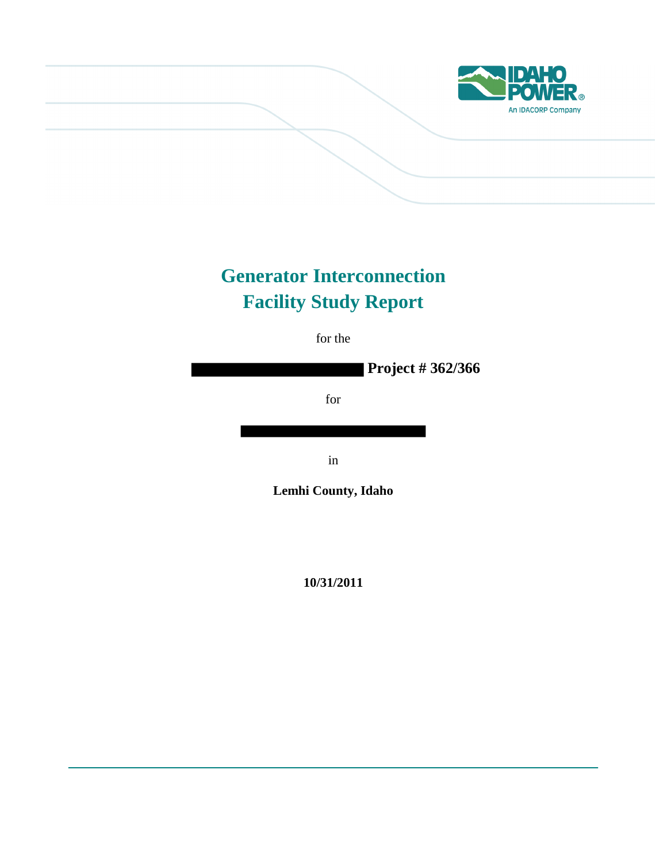

# **Generator Interconnection Facility Study Report**

for the

**Project # 362/366**

for

in

**Lemhi County, Idaho**

**10/31/2011**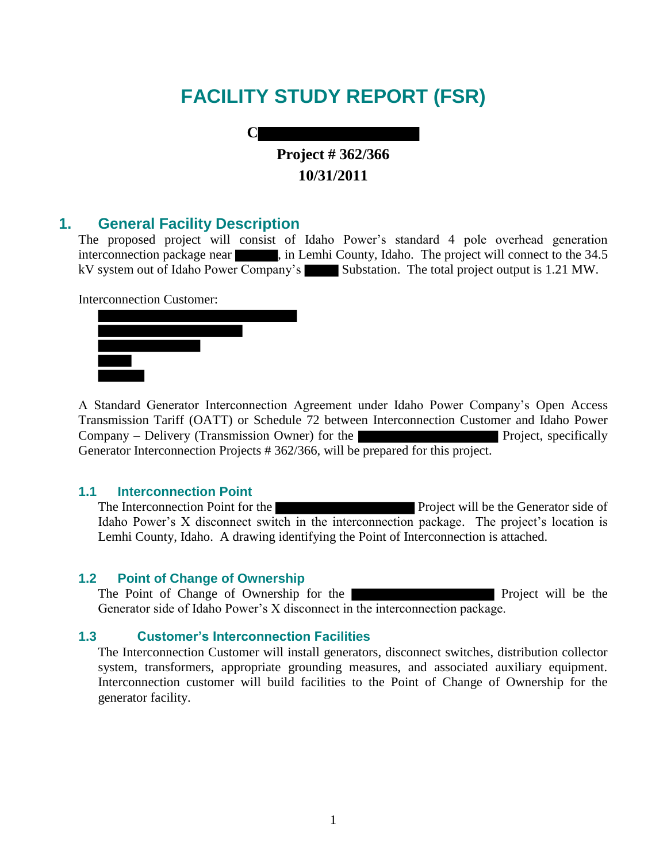# **FACILITY STUDY REPORT (FSR)**

**C Project # 362/366 10/31/2011**

## **1. General Facility Description**

The proposed project will consist of Idaho Power's standard 4 pole overhead generation interconnection package near , in Lemhi County, Idaho. The project will connect to the 34.5 kV system out of Idaho Power Company's Substation. The total project output is 1.21 MW.

Interconnection Customer:



A Standard Generator Interconnection Agreement under Idaho Power Company's Open Access Transmission Tariff (OATT) or Schedule 72 between Interconnection Customer and Idaho Power Company – Delivery (Transmission Owner) for the Project, specifically Generator Interconnection Projects # 362/366, will be prepared for this project.

#### **1.1 Interconnection Point**

The Interconnection Point for the **Project** will be the Generator side of Idaho Power's X disconnect switch in the interconnection package. The project's location is Lemhi County, Idaho. A drawing identifying the Point of Interconnection is attached.

## **1.2 Point of Change of Ownership**

The Point of Change of Ownership for the **Project** will be the Generator side of Idaho Power's X disconnect in the interconnection package.

## **1.3 Customer's Interconnection Facilities**

The Interconnection Customer will install generators, disconnect switches, distribution collector system, transformers, appropriate grounding measures, and associated auxiliary equipment. Interconnection customer will build facilities to the Point of Change of Ownership for the generator facility.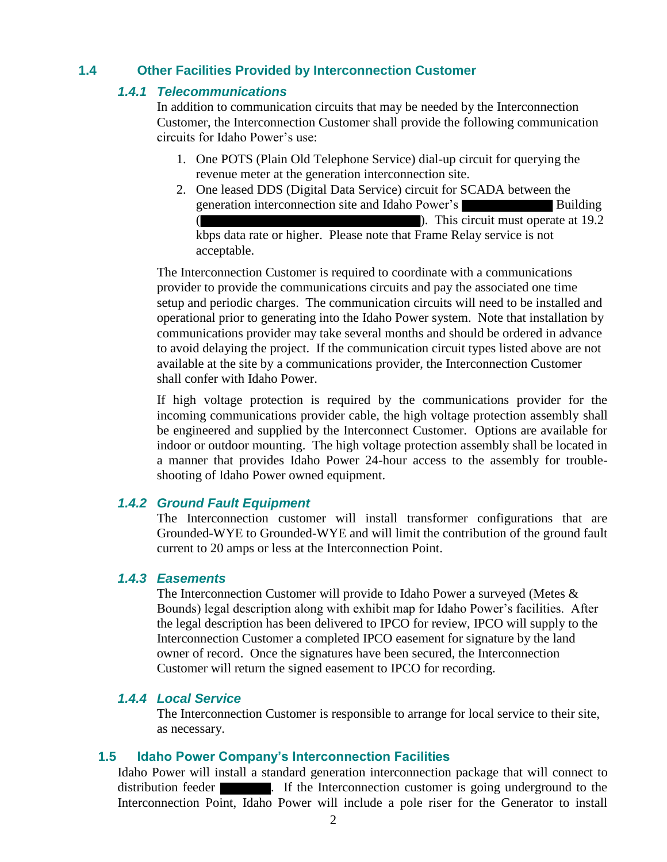## **1.4 Other Facilities Provided by Interconnection Customer**

## *1.4.1 Telecommunications*

In addition to communication circuits that may be needed by the Interconnection Customer, the Interconnection Customer shall provide the following communication circuits for Idaho Power's use:

- 1. One POTS (Plain Old Telephone Service) dial-up circuit for querying the revenue meter at the generation interconnection site.
- 2. One leased DDS (Digital Data Service) circuit for SCADA between the generation interconnection site and Idaho Power's Building ( ). This circuit must operate at 19.2 kbps data rate or higher. Please note that Frame Relay service is not acceptable.

The Interconnection Customer is required to coordinate with a communications provider to provide the communications circuits and pay the associated one time setup and periodic charges. The communication circuits will need to be installed and operational prior to generating into the Idaho Power system. Note that installation by communications provider may take several months and should be ordered in advance to avoid delaying the project. If the communication circuit types listed above are not available at the site by a communications provider, the Interconnection Customer shall confer with Idaho Power.

If high voltage protection is required by the communications provider for the incoming communications provider cable, the high voltage protection assembly shall be engineered and supplied by the Interconnect Customer. Options are available for indoor or outdoor mounting. The high voltage protection assembly shall be located in a manner that provides Idaho Power 24-hour access to the assembly for troubleshooting of Idaho Power owned equipment.

## *1.4.2 Ground Fault Equipment*

The Interconnection customer will install transformer configurations that are Grounded-WYE to Grounded-WYE and will limit the contribution of the ground fault current to 20 amps or less at the Interconnection Point.

#### *1.4.3 Easements*

The Interconnection Customer will provide to Idaho Power a surveyed (Metes & Bounds) legal description along with exhibit map for Idaho Power's facilities. After the legal description has been delivered to IPCO for review, IPCO will supply to the Interconnection Customer a completed IPCO easement for signature by the land owner of record. Once the signatures have been secured, the Interconnection Customer will return the signed easement to IPCO for recording.

## *1.4.4 Local Service*

The Interconnection Customer is responsible to arrange for local service to their site, as necessary.

#### **1.5 Idaho Power Company's Interconnection Facilities**

Idaho Power will install a standard generation interconnection package that will connect to distribution feeder **. If the Interconnection customer is going underground to the** Interconnection Point, Idaho Power will include a pole riser for the Generator to install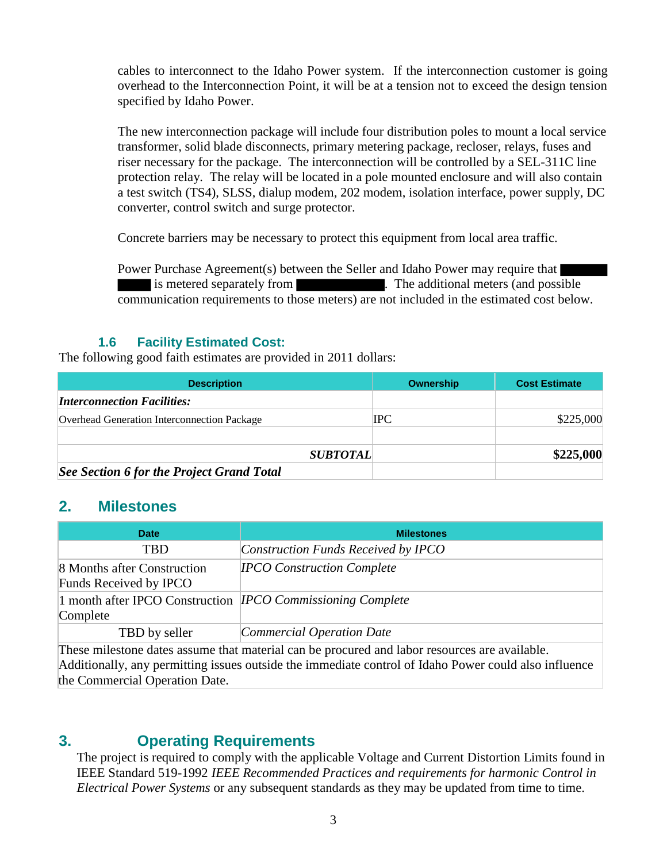cables to interconnect to the Idaho Power system. If the interconnection customer is going overhead to the Interconnection Point, it will be at a tension not to exceed the design tension specified by Idaho Power.

The new interconnection package will include four distribution poles to mount a local service transformer, solid blade disconnects, primary metering package, recloser, relays, fuses and riser necessary for the package. The interconnection will be controlled by a SEL-311C line protection relay. The relay will be located in a pole mounted enclosure and will also contain a test switch (TS4), SLSS, dialup modem, 202 modem, isolation interface, power supply, DC converter, control switch and surge protector.

Concrete barriers may be necessary to protect this equipment from local area traffic.

Power Purchase Agreement(s) between the Seller and Idaho Power may require that is metered separately from . The additional meters (and possible communication requirements to those meters) are not included in the estimated cost below.

## **1.6 Facility Estimated Cost:**

The following good faith estimates are provided in 2011 dollars:

| <b>Description</b>                          | Ownership | <b>Cost Estimate</b> |
|---------------------------------------------|-----------|----------------------|
| <i><b>Interconnection Facilities:</b></i>   |           |                      |
| Overhead Generation Interconnection Package | IPC       | \$225,000            |
| <b>SUBTOTAL</b>                             |           | \$225,000            |
| See Section 6 for the Project Grand Total   |           |                      |

# **2. Milestones**

| <b>Date</b>                                                                    | <b>Milestones</b>                   |
|--------------------------------------------------------------------------------|-------------------------------------|
| <b>TBD</b>                                                                     | Construction Funds Received by IPCO |
| 8 Months after Construction<br>Funds Received by IPCO                          | <b>IPCO Construction Complete</b>   |
| 1 month after IPCO Construction <i>IPCO Commissioning Complete</i><br>Complete |                                     |
| TBD by seller                                                                  | Commercial Operation Date           |

These milestone dates assume that material can be procured and labor resources are available. Additionally, any permitting issues outside the immediate control of Idaho Power could also influence the Commercial Operation Date.

# **3. Operating Requirements**

The project is required to comply with the applicable Voltage and Current Distortion Limits found in IEEE Standard 519-1992 *IEEE Recommended Practices and requirements for harmonic Control in Electrical Power Systems* or any subsequent standards as they may be updated from time to time.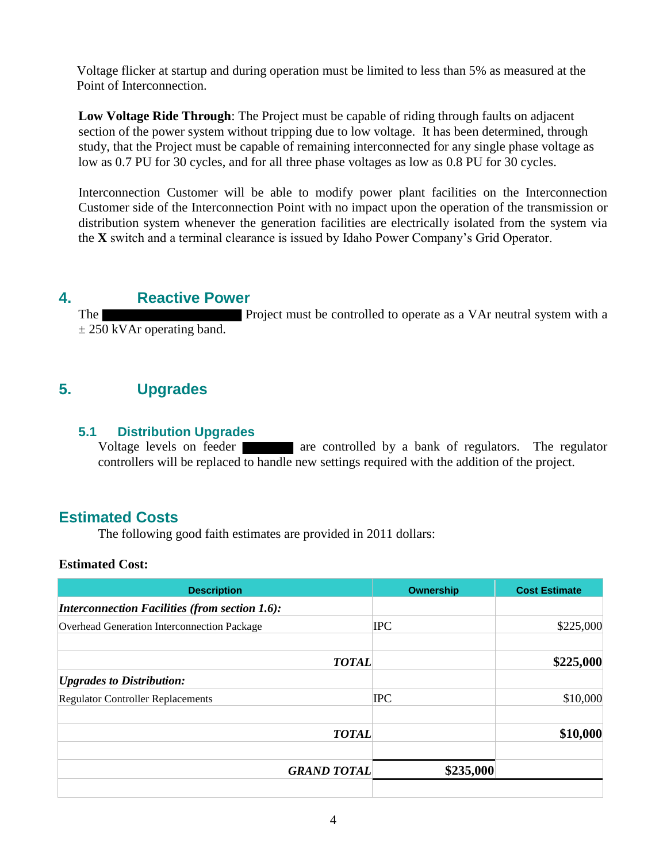Voltage flicker at startup and during operation must be limited to less than 5% as measured at the Point of Interconnection.

**Low Voltage Ride Through**: The Project must be capable of riding through faults on adjacent section of the power system without tripping due to low voltage. It has been determined, through study, that the Project must be capable of remaining interconnected for any single phase voltage as low as 0.7 PU for 30 cycles, and for all three phase voltages as low as 0.8 PU for 30 cycles.

Interconnection Customer will be able to modify power plant facilities on the Interconnection Customer side of the Interconnection Point with no impact upon the operation of the transmission or distribution system whenever the generation facilities are electrically isolated from the system via the **X** switch and a terminal clearance is issued by Idaho Power Company's Grid Operator.

# **4. Reactive Power**

The **Project** must be controlled to operate as a VAr neutral system with a  $\pm$  250 kVAr operating band.

# **5. Upgrades**

## **5.1 Distribution Upgrades**

Voltage levels on feeder **are controlled** by a bank of regulators. The regulator controllers will be replaced to handle new settings required with the addition of the project.

# **Estimated Costs**

The following good faith estimates are provided in 2011 dollars:

## **Estimated Cost:**

| Ownership                       | <b>Cost Estimate</b> |
|---------------------------------|----------------------|
|                                 |                      |
| <b>IPC</b>                      | \$225,000            |
| <b>TOTAL</b>                    | \$225,000            |
|                                 |                      |
| <b>IPC</b>                      | \$10,000             |
| <b>TOTAL</b>                    | \$10,000             |
| \$235,000<br><b>GRAND TOTAL</b> |                      |
|                                 |                      |